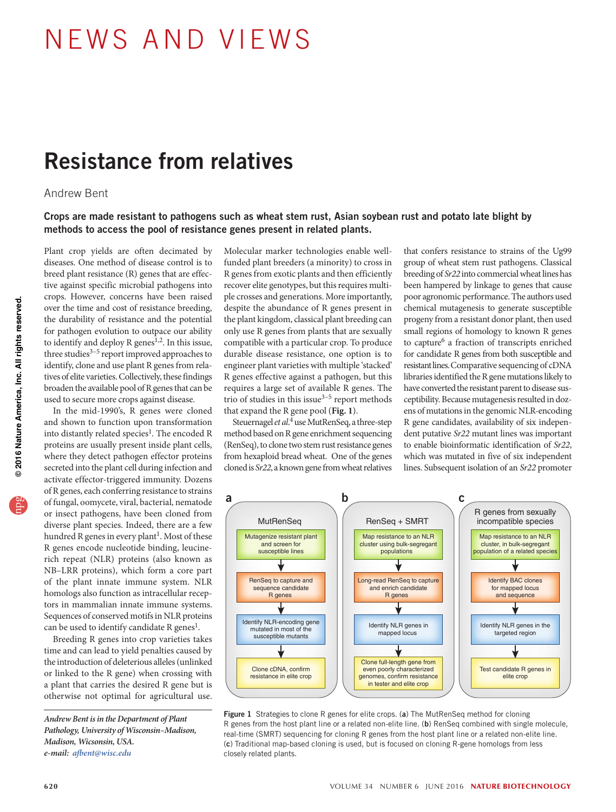# news a nd views

## Resistance from relatives

### Andrew Bent

#### Crops are made resistant to pathogens such as wheat stem rust, Asian soybean rust and potato late blight by methods to access the pool of resistance genes present in related plants.

Plant crop yields are often decimated by diseases. One method of disease control is to breed plant resistance (R) genes that are effective against specific microbial pathogens into crops. However, concerns have been raised over the time and cost of resistance breeding, the durability of resistance and the potential for pathogen evolution to outpace our ability to identify and deploy R genes<sup>1,2</sup>. In this issue, three studies<sup>3-5</sup> report improved approaches to identify, clone and use plant R genes from relatives of elite varieties. Collectively, these findings broaden the available pool of R genes that can be used to secure more crops against disease.

In the mid-1990's, R genes were cloned and shown to function upon transformation into distantly related species<sup>1</sup>. The encoded R proteins are usually present inside plant cells, where they detect pathogen effector proteins secreted into the plant cell during infection and activate effector-triggered immunity. Dozens of R genes, each conferring resistance to strains of fungal, oomycete, viral, bacterial, nematode or insect pathogens, have been cloned from diverse plant species. Indeed, there are a few hundred R genes in every plant<sup>1</sup>. Most of these R genes encode nucleotide binding, leucinerich repeat (NLR) proteins (also known as NB–LRR proteins), which form a core part of the plant innate immune system. NLR homologs also function as intracellular receptors in mammalian innate immune systems. Sequences of conserved motifs in NLR proteins can be used to identify candidate  $R$  genes<sup>1</sup>.

Breeding R genes into crop varieties takes time and can lead to yield penalties caused by the introduction of deleterious alleles (unlinked or linked to the R gene) when crossing with a plant that carries the desired R gene but is otherwise not optimal for agricultural use.

*Andrew Bent is in the Department of Plant Pathology, University of Wisconsin–Madison, Madison, Wicsonsin, USA. e-mail: afbent@wisc.edu* 

Molecular marker technologies enable wellfunded plant breeders (a minority) to cross in R genes from exotic plants and then efficiently recover elite genotypes, but this requires multiple crosses and generations. More importantly, despite the abundance of R genes present in the plant kingdom, classical plant breeding can only use R genes from plants that are sexually compatible with a particular crop. To produce durable disease resistance, one option is to engineer plant varieties with multiple 'stacked' R genes effective against a pathogen, but this requires a large set of available R genes. The trio of studies in this issue $3-5$  report methods that expand the R gene pool (**Fig. 1**).

Steuernagel *et al*. 4 use MutRenSeq, a three-step method based on R gene enrichment sequencing (RenSeq), to clone two stem rust resistance genes from hexaploid bread wheat. One of the genes cloned is *Sr22*, a known gene from wheat relatives

that confers resistance to strains of the Ug99 group of wheat stem rust pathogens. Classical breeding of *Sr22* into commercial wheat lines has been hampered by linkage to genes that cause poor agronomic performance. The authors used chemical mutagenesis to generate susceptible progeny from a resistant donor plant, then used small regions of homology to known R genes to capture<sup>6</sup> a fraction of transcripts enriched for candidate R genes from both susceptible and resistant lines. Comparative sequencing of cDNA libraries identified the R gene mutations likely to have converted the resistant parent to disease susceptibility. Because mutagenesis resulted in dozens of mutations in the genomic NLR-encoding R gene candidates, availability of six independent putative *Sr22* mutant lines was important to enable bioinformatic identification of *Sr22*, which was mutated in five of six independent lines. Subsequent isolation of an *Sr22* promoter



Figure 1 Strategies to clone R genes for elite crops. (a) The MutRenSeq method for cloning R genes from the host plant line or a related non-elite line. (b) RenSeq combined with single molecule, real-time (SMRT) sequencing for cloning R genes from the host plant line or a related non-elite line. (c) Traditional map-based cloning is used, but is focused on cloning R-gene homologs from less closely related plants.